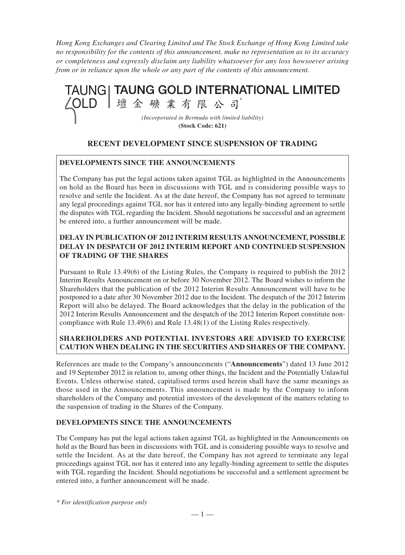*Hong Kong Exchanges and Clearing Limited and The Stock Exchange of Hong Kong Limited take no responsibility for the contents of this announcement, make no representation as to its accuracy or completeness and expressly disclaim any liability whatsoever for any loss howsoever arising from or in reliance upon the whole or any part of the contents of this announcement.*



## **RECENT DEVELOPMENT SINCE SUSPENSION OF TRADING**

#### **DEVELOPMENTS SINCE THE ANNOUNCEMENTS**

The Company has put the legal actions taken against TGL as highlighted in the Announcements on hold as the Board has been in discussions with TGL and is considering possible ways to resolve and settle the Incident. As at the date hereof, the Company has not agreed to terminate any legal proceedings against TGL nor has it entered into any legally-binding agreement to settle the disputes with TGL regarding the Incident. Should negotiations be successful and an agreement be entered into, a further announcement will be made.

### **DELAY IN PUBLICATION OF 2012 INTERIM RESULTS ANNOUNCEMENT, POSSIBLE DELAY IN DESPATCH OF 2012 INTERIM REPORT AND CONTINUED SUSPENSION OF TRADING OF THE SHARES**

Pursuant to Rule 13.49(6) of the Listing Rules, the Company is required to publish the 2012 Interim Results Announcement on or before 30 November 2012. The Board wishes to inform the Shareholders that the publication of the 2012 Interim Results Announcement will have to be postponed to a date after 30 November 2012 due to the Incident. The despatch of the 2012 Interim Report will also be delayed. The Board acknowledges that the delay in the publication of the 2012 Interim Results Announcement and the despatch of the 2012 Interim Report constitute noncompliance with Rule 13.49(6) and Rule 13.48(1) of the Listing Rules respectively.

### **SHAREHOLDERS AND POTENTIAL INVESTORS ARE ADVISED TO EXERCISE CAUTION WHEN DEALING IN THE SECURITIES AND SHARES OF THE COMPANY.**

References are made to the Company's announcements ("**Announcements**") dated 13 June 2012 and 19 September 2012 in relation to, among other things, the Incident and the Potentially Unlawful Events. Unless otherwise stated, capitalised terms used herein shall have the same meanings as those used in the Announcements. This announcement is made by the Company to inform shareholders of the Company and potential investors of the development of the matters relating to the suspension of trading in the Shares of the Company.

#### **DEVELOPMENTS SINCE THE ANNOUNCEMENTS**

The Company has put the legal actions taken against TGL as highlighted in the Announcements on hold as the Board has been in discussions with TGL and is considering possible ways to resolve and settle the Incident. As at the date hereof, the Company has not agreed to terminate any legal proceedings against TGL nor has it entered into any legally-binding agreement to settle the disputes with TGL regarding the Incident. Should negotiations be successful and a settlement agreement be entered into, a further announcement will be made.